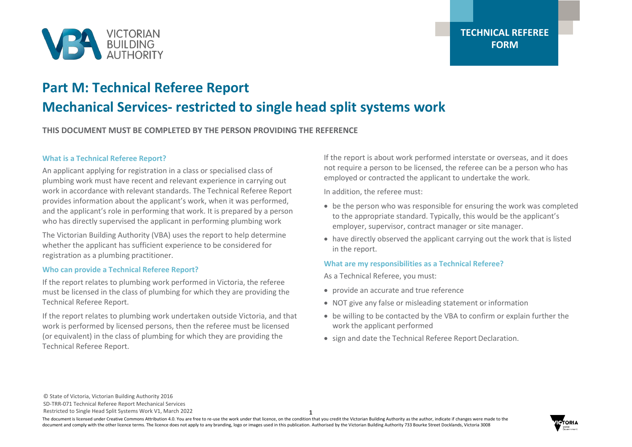

# **Part M: Technical Referee Report Mechanical Services- restricted to single head split systems work**

**THIS DOCUMENT MUST BE COMPLETED BY THE PERSON PROVIDING THE REFERENCE**

### **What is a Technical Referee Report?**

An applicant applying for registration in a class or specialised class of plumbing work must have recent and relevant experience in carrying out work in accordance with relevant standards. The Technical Referee Report provides information about the applicant's work, when it was performed, and the applicant's role in performing that work. It is prepared by a person who has directly supervised the applicant in performing plumbing work

The Victorian Building Authority (VBA) uses the report to help determine whether the applicant has sufficient experience to be considered for registration as a plumbing practitioner.

### **Who can provide a Technical Referee Report?**

If the report relates to plumbing work performed in Victoria, the referee must be licensed in the class of plumbing for which they are providing the Technical Referee Report.

If the report relates to plumbing work undertaken outside Victoria, and that work is performed by licensed persons, then the referee must be licensed (or equivalent) in the class of plumbing for which they are providing the Technical Referee Report.

If the report is about work performed interstate or overseas, and it does not require a person to be licensed, the referee can be a person who has employed or contracted the applicant to undertake the work.

In addition, the referee must:

- be the person who was responsible for ensuring the work was completed to the appropriate standard. Typically, this would be the applicant's employer, supervisor, contract manager or site manager.
- have directly observed the applicant carrying out the work that is listed in the report.

### **What are my responsibilities as a Technical Referee?**

As a Technical Referee, you must:

- provide an accurate and true reference
- NOT give any false or misleading statement or information
- be willing to be contacted by the VBA to confirm or explain further the work the applicant performed
- sign and date the Technical Referee Report Declaration.

© State of Victoria, Victorian Building Authority 2016 SD-TRR-071 Technical Referee Report Mechanical Services Restricted to Single Head Split Systems Work V1, March 2022

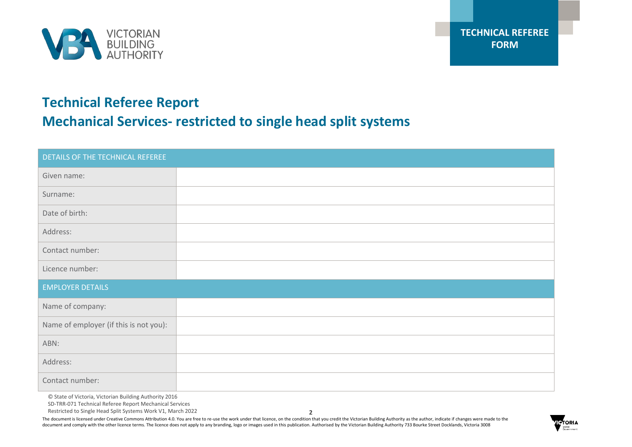

# **Technical Referee Report Mechanical Services- restricted to single head split systems**

| DETAILS OF THE TECHNICAL REFEREE       |  |  |  |  |
|----------------------------------------|--|--|--|--|
| Given name:                            |  |  |  |  |
| Surname:                               |  |  |  |  |
| Date of birth:                         |  |  |  |  |
| Address:                               |  |  |  |  |
| Contact number:                        |  |  |  |  |
| Licence number:                        |  |  |  |  |
| <b>EMPLOYER DETAILS</b>                |  |  |  |  |
| Name of company:                       |  |  |  |  |
| Name of employer (if this is not you): |  |  |  |  |
| ABN:                                   |  |  |  |  |
| Address:                               |  |  |  |  |
| Contact number:                        |  |  |  |  |

© State of Victoria, Victorian Building Authority 2016

SD-TRR-071 Technical Referee Report Mechanical Services

Restricted to Single Head Split Systems Work V1, March 2022

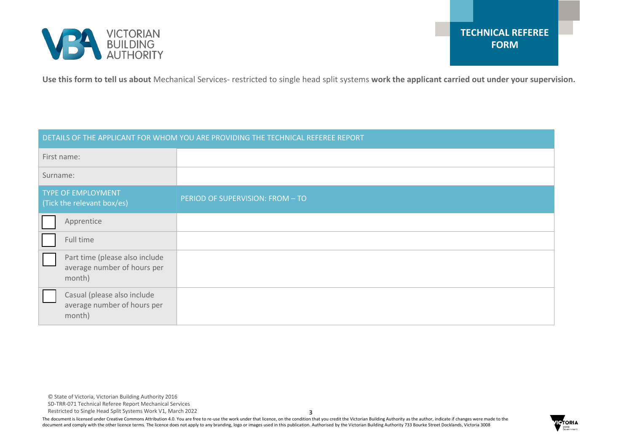

**Use this form to tell us about** Mechanical Services- restricted to single head split systems **work the applicant carried out under your supervision.**

| DETAILS OF THE APPLICANT FOR WHOM YOU ARE PROVIDING THE TECHNICAL REFEREE REPORT |                                                                         |                                  |  |  |
|----------------------------------------------------------------------------------|-------------------------------------------------------------------------|----------------------------------|--|--|
| First name:                                                                      |                                                                         |                                  |  |  |
| Surname:                                                                         |                                                                         |                                  |  |  |
| <b>TYPE OF EMPLOYMENT</b><br>(Tick the relevant box/es)                          |                                                                         | PERIOD OF SUPERVISION: FROM - TO |  |  |
|                                                                                  | Apprentice                                                              |                                  |  |  |
|                                                                                  | Full time                                                               |                                  |  |  |
|                                                                                  | Part time (please also include<br>average number of hours per<br>month) |                                  |  |  |
|                                                                                  | Casual (please also include<br>average number of hours per<br>month)    |                                  |  |  |

SD-TRR-071 Technical Referee Report Mechanical Services

Restricted to Single Head Split Systems Work V1, March 2022

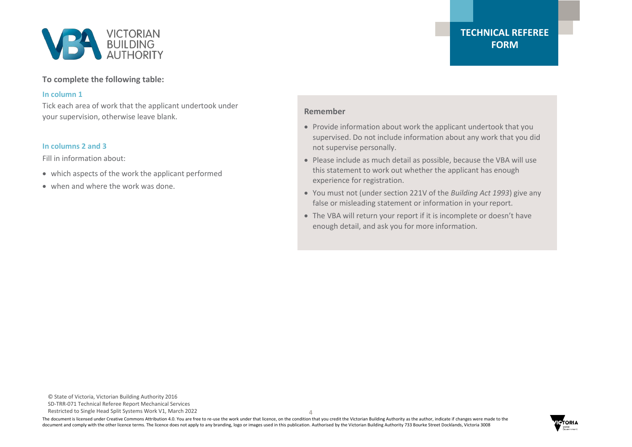

# **To complete the following table:**

#### **In column 1**

Tick each area of work that the applicant undertook under your supervision, otherwise leave blank.

# **In columns 2 and 3**

Fill in information about:

- which aspects of the work the applicant performed
- when and where the work was done.

## **Remember**

- Provide information about work the applicant undertook that you supervised. Do not include information about any work that you did not supervise personally.
- Please include as much detail as possible, because the VBA will use this statement to work out whether the applicant has enough experience for registration.
- You must not (under section 221V of the *Building Act 1993*) give any false or misleading statement or information in your report.
- The VBA will return your report if it is incomplete or doesn't have enough detail, and ask you for more information.

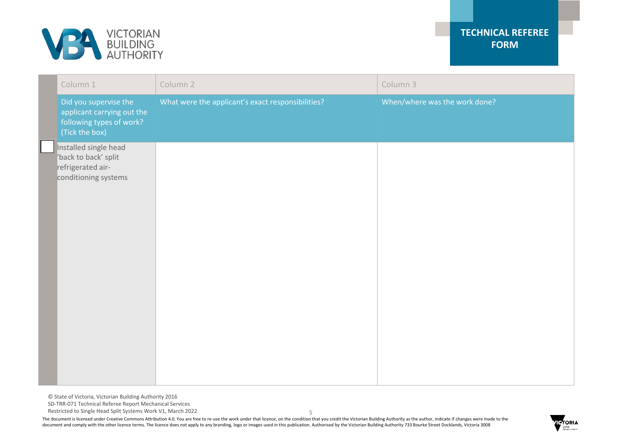

|  | Column 1                                                                                          | Column 2                                          | Column 3                      |
|--|---------------------------------------------------------------------------------------------------|---------------------------------------------------|-------------------------------|
|  | Did you supervise the<br>applicant carrying out the<br>following types of work?<br>(Tick the box) | What were the applicant's exact responsibilities? | When/where was the work done? |
|  | Installed single head<br>'back to back' split<br>refrigerated air-<br>conditioning systems        |                                                   |                               |

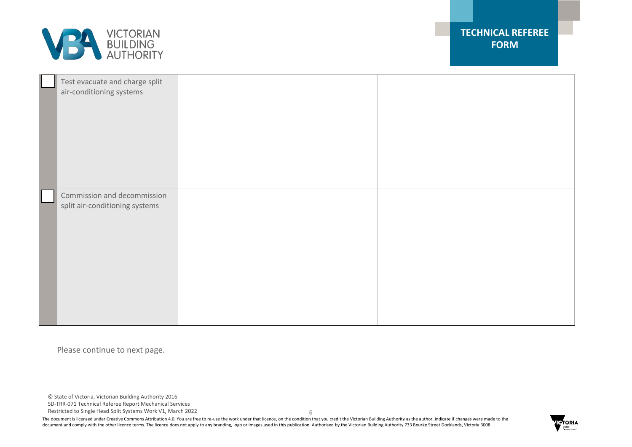

| Test evacuate and charge split<br>air-conditioning systems    |  |
|---------------------------------------------------------------|--|
| Commission and decommission<br>split air-conditioning systems |  |

Please continue to next page.

© State of Victoria, Victorian Building Authority 2016

SD-TRR-071 Technical Referee Report Mechanical Services

Restricted to Single Head Split Systems Work V1, March 2022